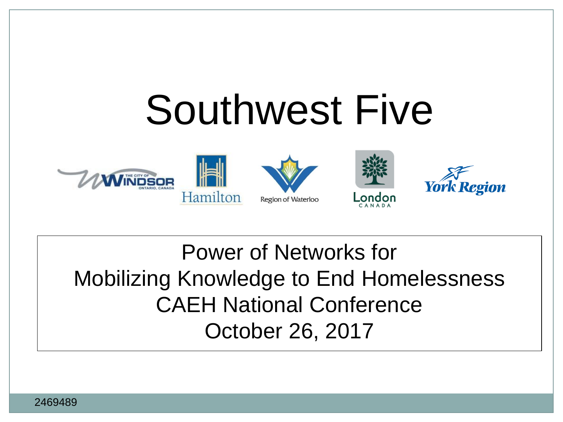# Southwest Five



#### Power of Networks for Mobilizing Knowledge to End Homelessness CAEH National Conference October 26, 2017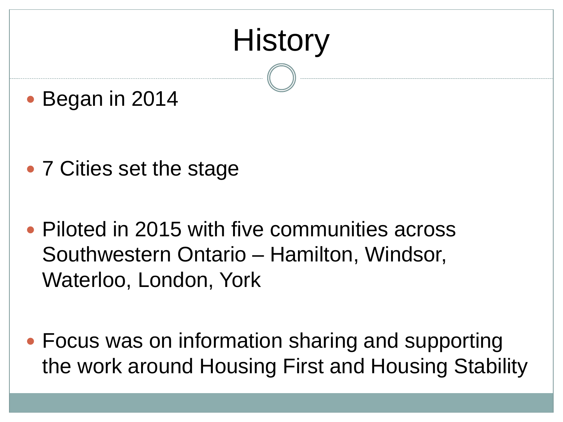## **History**

• Began in 2014

- 7 Cities set the stage
- Piloted in 2015 with five communities across Southwestern Ontario – Hamilton, Windsor, Waterloo, London, York
- Focus was on information sharing and supporting the work around Housing First and Housing Stability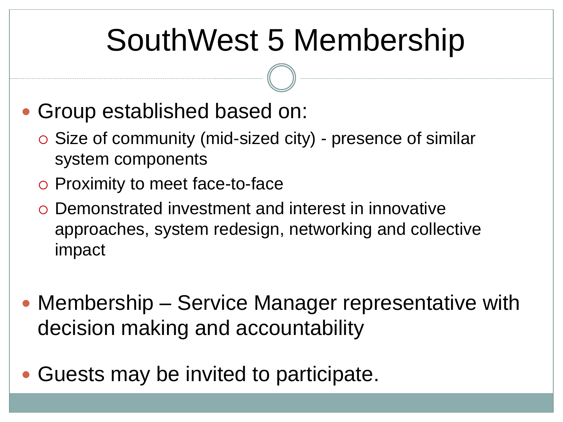### SouthWest 5 Membership

- Group established based on:
	- Size of community (mid-sized city) presence of similar system components
	- Proximity to meet face-to-face
	- Demonstrated investment and interest in innovative approaches, system redesign, networking and collective impact
- Membership Service Manager representative with decision making and accountability
- Guests may be invited to participate.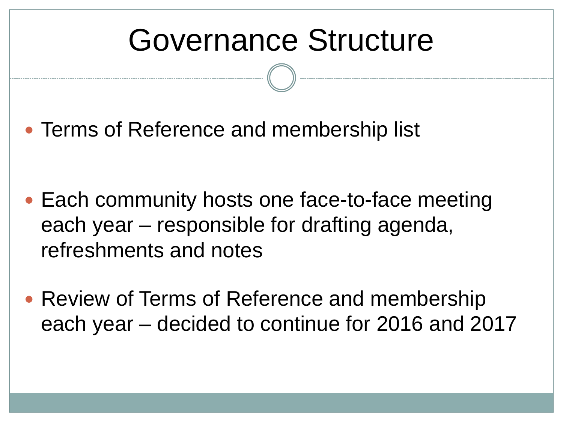#### Governance Structure

• Terms of Reference and membership list

- Each community hosts one face-to-face meeting each year – responsible for drafting agenda, refreshments and notes
- Review of Terms of Reference and membership each year – decided to continue for 2016 and 2017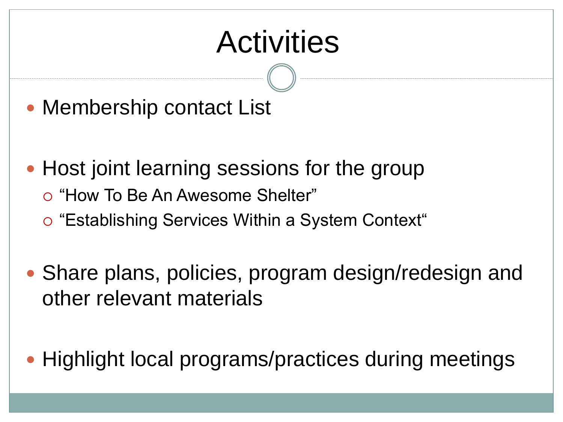#### **Activities**

- Membership contact List
- Host joint learning sessions for the group
	- "How To Be An Awesome Shelter"
	- "Establishing Services Within a System Context"
- Share plans, policies, program design/redesign and other relevant materials
- Highlight local programs/practices during meetings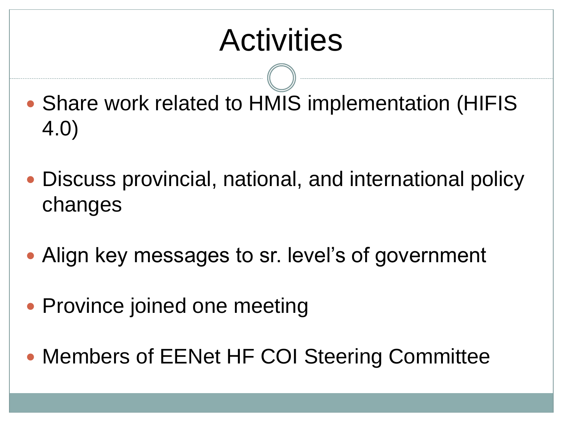#### **Activities**

- Share work related to HMIS implementation (HIFIS 4.0)
- Discuss provincial, national, and international policy changes
- Align key messages to sr. level's of government
- Province joined one meeting
- Members of EENet HF COI Steering Committee